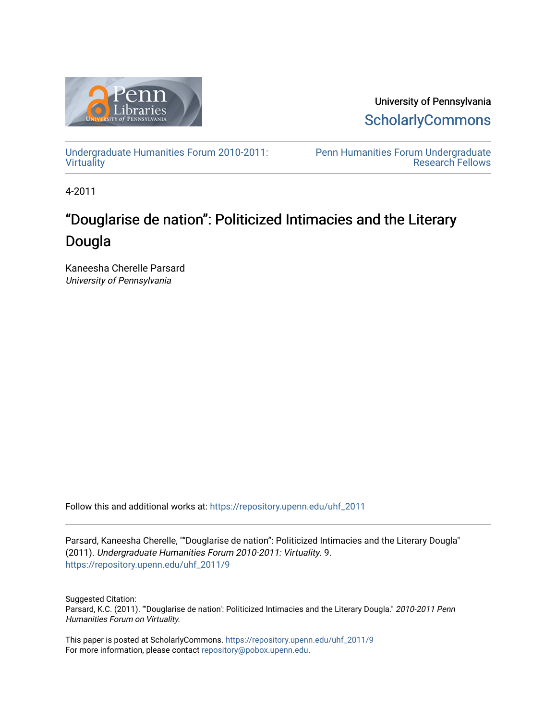

University of Pennsylvania **ScholarlyCommons** 

[Undergraduate Humanities Forum 2010-2011:](https://repository.upenn.edu/uhf_2011) **[Virtuality](https://repository.upenn.edu/uhf_2011)** 

[Penn Humanities Forum Undergraduate](https://repository.upenn.edu/uhf_fellows)  [Research Fellows](https://repository.upenn.edu/uhf_fellows) 

4-2011

# "Douglarise de nation": Politicized Intimacies and the Literary Dougla

Kaneesha Cherelle Parsard University of Pennsylvania

Follow this and additional works at: [https://repository.upenn.edu/uhf\\_2011](https://repository.upenn.edu/uhf_2011?utm_source=repository.upenn.edu%2Fuhf_2011%2F9&utm_medium=PDF&utm_campaign=PDFCoverPages) 

Parsard, Kaneesha Cherelle, ""Douglarise de nation": Politicized Intimacies and the Literary Dougla" (2011). Undergraduate Humanities Forum 2010-2011: Virtuality. 9. [https://repository.upenn.edu/uhf\\_2011/9](https://repository.upenn.edu/uhf_2011/9?utm_source=repository.upenn.edu%2Fuhf_2011%2F9&utm_medium=PDF&utm_campaign=PDFCoverPages) 

Suggested Citation: Parsard, K.C. (2011). "'Douglarise de nation': Politicized Intimacies and the Literary Dougla." 2010-2011 Penn Humanities Forum on Virtuality.

This paper is posted at ScholarlyCommons. [https://repository.upenn.edu/uhf\\_2011/9](https://repository.upenn.edu/uhf_2011/9)  For more information, please contact [repository@pobox.upenn.edu.](mailto:repository@pobox.upenn.edu)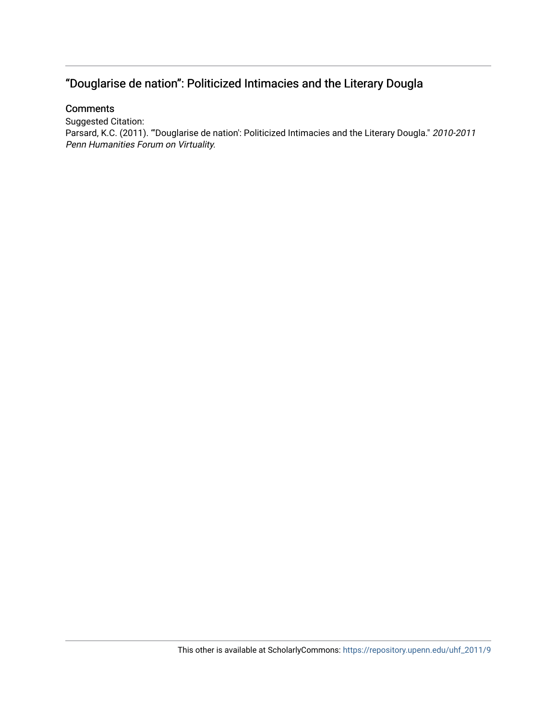## "Douglarise de nation": Politicized Intimacies and the Literary Dougla

#### **Comments**

Suggested Citation: Parsard, K.C. (2011). "'Douglarise de nation': Politicized Intimacies and the Literary Dougla." 2010-2011 Penn Humanities Forum on Virtuality.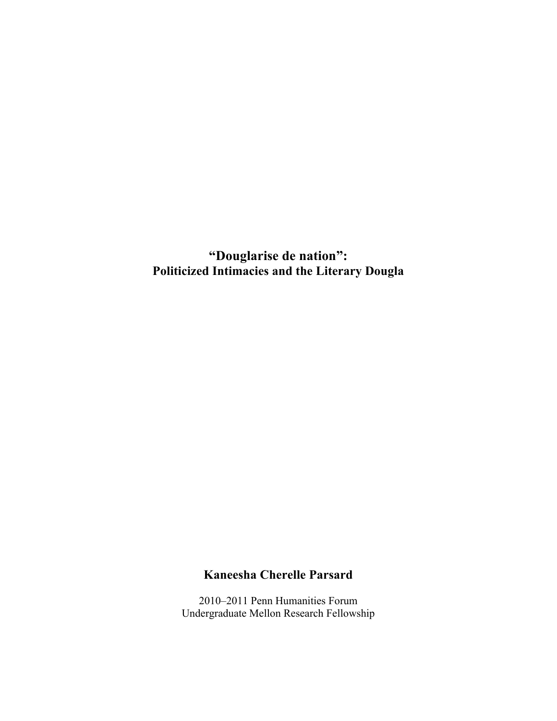**"Douglarise de nation": Politicized Intimacies and the Literary Dougla**

## **Kaneesha Cherelle Parsard**

2010–2011 Penn Humanities Forum Undergraduate Mellon Research Fellowship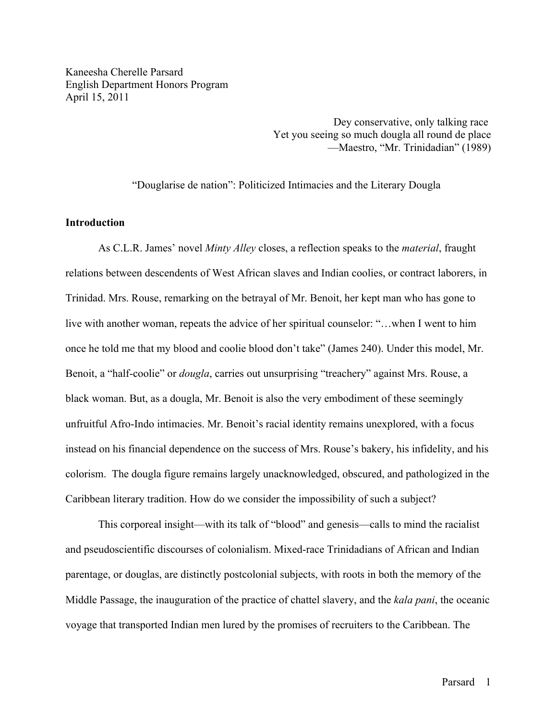Kaneesha Cherelle Parsard English Department Honors Program April 15, 2011

> Dey conservative, only talking race Yet you seeing so much dougla all round de place —Maestro, "Mr. Trinidadian" (1989)

"Douglarise de nation": Politicized Intimacies and the Literary Dougla

#### **Introduction**

As C.L.R. James' novel *Minty Alley* closes, a reflection speaks to the *material*, fraught relations between descendents of West African slaves and Indian coolies, or contract laborers, in Trinidad. Mrs. Rouse, remarking on the betrayal of Mr. Benoit, her kept man who has gone to live with another woman, repeats the advice of her spiritual counselor: "…when I went to him once he told me that my blood and coolie blood don't take" (James 240). Under this model, Mr. Benoit, a "half-coolie" or *dougla*, carries out unsurprising "treachery" against Mrs. Rouse, a black woman. But, as a dougla, Mr. Benoit is also the very embodiment of these seemingly unfruitful Afro-Indo intimacies. Mr. Benoit's racial identity remains unexplored, with a focus instead on his financial dependence on the success of Mrs. Rouse's bakery, his infidelity, and his colorism. The dougla figure remains largely unacknowledged, obscured, and pathologized in the Caribbean literary tradition. How do we consider the impossibility of such a subject?

This corporeal insight—with its talk of "blood" and genesis—calls to mind the racialist and pseudoscientific discourses of colonialism. Mixed-race Trinidadians of African and Indian parentage, or douglas, are distinctly postcolonial subjects, with roots in both the memory of the Middle Passage, the inauguration of the practice of chattel slavery, and the *kala pani*, the oceanic voyage that transported Indian men lured by the promises of recruiters to the Caribbean. The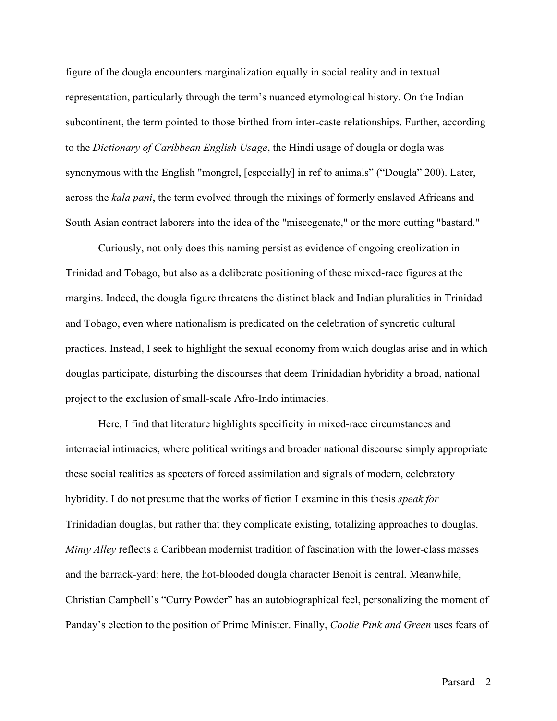figure of the dougla encounters marginalization equally in social reality and in textual representation, particularly through the term's nuanced etymological history. On the Indian subcontinent, the term pointed to those birthed from inter-caste relationships. Further, according to the *Dictionary of Caribbean English Usage*, the Hindi usage of dougla or dogla was synonymous with the English "mongrel, [especially] in ref to animals" ("Dougla" 200). Later, across the *kala pani*, the term evolved through the mixings of formerly enslaved Africans and South Asian contract laborers into the idea of the "miscegenate," or the more cutting "bastard."

Curiously, not only does this naming persist as evidence of ongoing creolization in Trinidad and Tobago, but also as a deliberate positioning of these mixed-race figures at the margins. Indeed, the dougla figure threatens the distinct black and Indian pluralities in Trinidad and Tobago, even where nationalism is predicated on the celebration of syncretic cultural practices. Instead, I seek to highlight the sexual economy from which douglas arise and in which douglas participate, disturbing the discourses that deem Trinidadian hybridity a broad, national project to the exclusion of small-scale Afro-Indo intimacies.

Here, I find that literature highlights specificity in mixed-race circumstances and interracial intimacies, where political writings and broader national discourse simply appropriate these social realities as specters of forced assimilation and signals of modern, celebratory hybridity. I do not presume that the works of fiction I examine in this thesis *speak for* Trinidadian douglas, but rather that they complicate existing, totalizing approaches to douglas. *Minty Alley* reflects a Caribbean modernist tradition of fascination with the lower-class masses and the barrack-yard: here, the hot-blooded dougla character Benoit is central. Meanwhile, Christian Campbell's "Curry Powder" has an autobiographical feel, personalizing the moment of Panday's election to the position of Prime Minister. Finally, *Coolie Pink and Green* uses fears of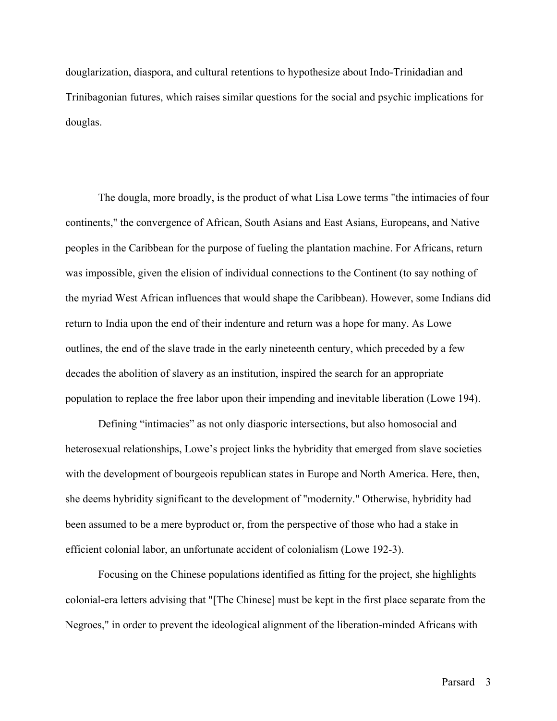douglarization, diaspora, and cultural retentions to hypothesize about Indo-Trinidadian and Trinibagonian futures, which raises similar questions for the social and psychic implications for douglas.

The dougla, more broadly, is the product of what Lisa Lowe terms "the intimacies of four continents," the convergence of African, South Asians and East Asians, Europeans, and Native peoples in the Caribbean for the purpose of fueling the plantation machine. For Africans, return was impossible, given the elision of individual connections to the Continent (to say nothing of the myriad West African influences that would shape the Caribbean). However, some Indians did return to India upon the end of their indenture and return was a hope for many. As Lowe outlines, the end of the slave trade in the early nineteenth century, which preceded by a few decades the abolition of slavery as an institution, inspired the search for an appropriate population to replace the free labor upon their impending and inevitable liberation (Lowe 194).

Defining "intimacies" as not only diasporic intersections, but also homosocial and heterosexual relationships, Lowe's project links the hybridity that emerged from slave societies with the development of bourgeois republican states in Europe and North America. Here, then, she deems hybridity significant to the development of "modernity." Otherwise, hybridity had been assumed to be a mere byproduct or, from the perspective of those who had a stake in efficient colonial labor, an unfortunate accident of colonialism (Lowe 192-3).

Focusing on the Chinese populations identified as fitting for the project, she highlights colonial-era letters advising that "[The Chinese] must be kept in the first place separate from the Negroes," in order to prevent the ideological alignment of the liberation-minded Africans with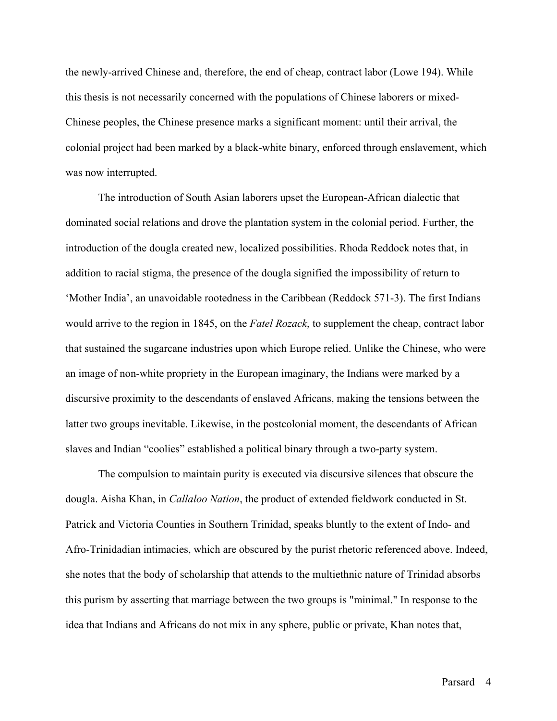the newly-arrived Chinese and, therefore, the end of cheap, contract labor (Lowe 194). While this thesis is not necessarily concerned with the populations of Chinese laborers or mixed-Chinese peoples, the Chinese presence marks a significant moment: until their arrival, the colonial project had been marked by a black-white binary, enforced through enslavement, which was now interrupted.

The introduction of South Asian laborers upset the European-African dialectic that dominated social relations and drove the plantation system in the colonial period. Further, the introduction of the dougla created new, localized possibilities. Rhoda Reddock notes that, in addition to racial stigma, the presence of the dougla signified the impossibility of return to 'Mother India', an unavoidable rootedness in the Caribbean (Reddock 571-3). The first Indians would arrive to the region in 1845, on the *Fatel Rozack*, to supplement the cheap, contract labor that sustained the sugarcane industries upon which Europe relied. Unlike the Chinese, who were an image of non-white propriety in the European imaginary, the Indians were marked by a discursive proximity to the descendants of enslaved Africans, making the tensions between the latter two groups inevitable. Likewise, in the postcolonial moment, the descendants of African slaves and Indian "coolies" established a political binary through a two-party system.

The compulsion to maintain purity is executed via discursive silences that obscure the dougla. Aisha Khan, in *Callaloo Nation*, the product of extended fieldwork conducted in St. Patrick and Victoria Counties in Southern Trinidad, speaks bluntly to the extent of Indo- and Afro-Trinidadian intimacies, which are obscured by the purist rhetoric referenced above. Indeed, she notes that the body of scholarship that attends to the multiethnic nature of Trinidad absorbs this purism by asserting that marriage between the two groups is "minimal." In response to the idea that Indians and Africans do not mix in any sphere, public or private, Khan notes that,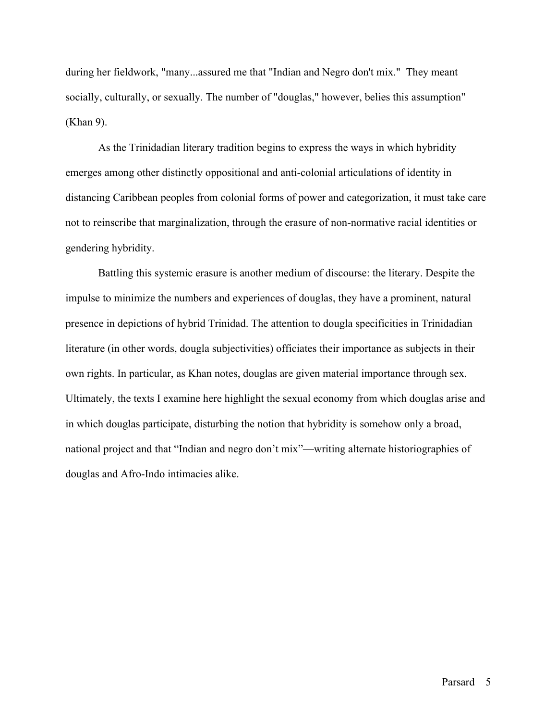during her fieldwork, "many...assured me that "Indian and Negro don't mix." They meant socially, culturally, or sexually. The number of "douglas," however, belies this assumption" (Khan 9).

As the Trinidadian literary tradition begins to express the ways in which hybridity emerges among other distinctly oppositional and anti-colonial articulations of identity in distancing Caribbean peoples from colonial forms of power and categorization, it must take care not to reinscribe that marginalization, through the erasure of non-normative racial identities or gendering hybridity.

Battling this systemic erasure is another medium of discourse: the literary. Despite the impulse to minimize the numbers and experiences of douglas, they have a prominent, natural presence in depictions of hybrid Trinidad. The attention to dougla specificities in Trinidadian literature (in other words, dougla subjectivities) officiates their importance as subjects in their own rights. In particular, as Khan notes, douglas are given material importance through sex. Ultimately, the texts I examine here highlight the sexual economy from which douglas arise and in which douglas participate, disturbing the notion that hybridity is somehow only a broad, national project and that "Indian and negro don't mix"—writing alternate historiographies of douglas and Afro-Indo intimacies alike.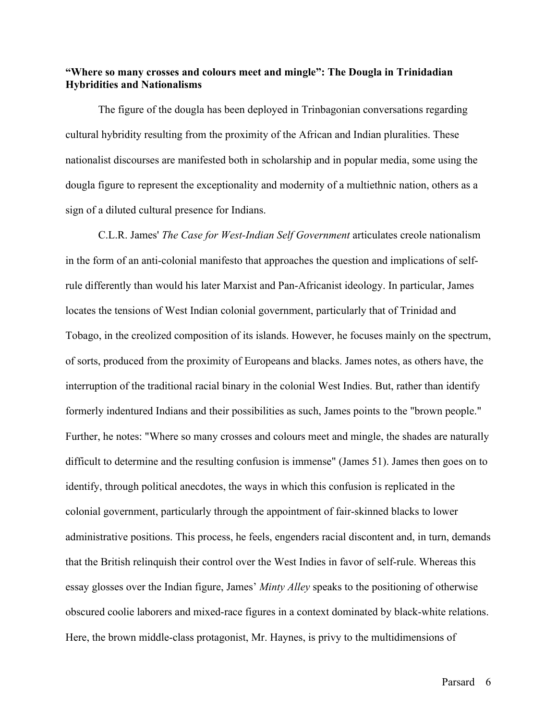#### **"Where so many crosses and colours meet and mingle": The Dougla in Trinidadian Hybridities and Nationalisms**

The figure of the dougla has been deployed in Trinbagonian conversations regarding cultural hybridity resulting from the proximity of the African and Indian pluralities. These nationalist discourses are manifested both in scholarship and in popular media, some using the dougla figure to represent the exceptionality and modernity of a multiethnic nation, others as a sign of a diluted cultural presence for Indians.

C.L.R. James' *The Case for West-Indian Self Government* articulates creole nationalism in the form of an anti-colonial manifesto that approaches the question and implications of selfrule differently than would his later Marxist and Pan-Africanist ideology. In particular, James locates the tensions of West Indian colonial government, particularly that of Trinidad and Tobago, in the creolized composition of its islands. However, he focuses mainly on the spectrum, of sorts, produced from the proximity of Europeans and blacks. James notes, as others have, the interruption of the traditional racial binary in the colonial West Indies. But, rather than identify formerly indentured Indians and their possibilities as such, James points to the "brown people." Further, he notes: "Where so many crosses and colours meet and mingle, the shades are naturally difficult to determine and the resulting confusion is immense" (James 51). James then goes on to identify, through political anecdotes, the ways in which this confusion is replicated in the colonial government, particularly through the appointment of fair-skinned blacks to lower administrative positions. This process, he feels, engenders racial discontent and, in turn, demands that the British relinquish their control over the West Indies in favor of self-rule. Whereas this essay glosses over the Indian figure, James' *Minty Alley* speaks to the positioning of otherwise obscured coolie laborers and mixed-race figures in a context dominated by black-white relations. Here, the brown middle-class protagonist, Mr. Haynes, is privy to the multidimensions of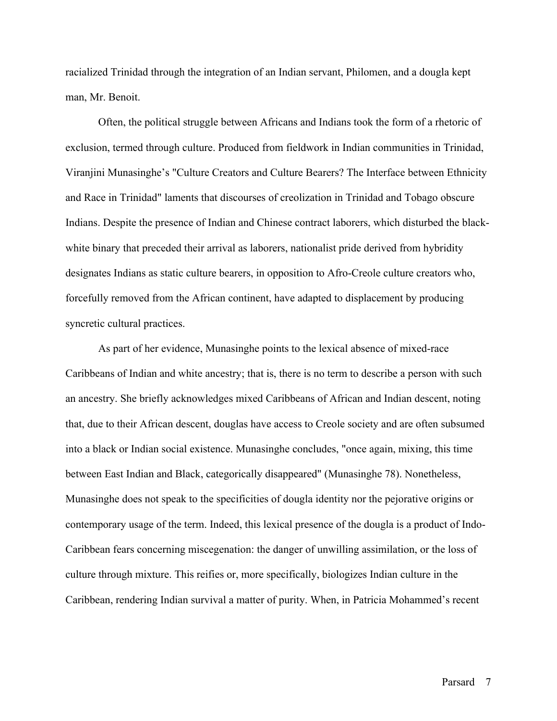racialized Trinidad through the integration of an Indian servant, Philomen, and a dougla kept man, Mr. Benoit.

Often, the political struggle between Africans and Indians took the form of a rhetoric of exclusion, termed through culture. Produced from fieldwork in Indian communities in Trinidad, Viranjini Munasinghe's "Culture Creators and Culture Bearers? The Interface between Ethnicity and Race in Trinidad" laments that discourses of creolization in Trinidad and Tobago obscure Indians. Despite the presence of Indian and Chinese contract laborers, which disturbed the blackwhite binary that preceded their arrival as laborers, nationalist pride derived from hybridity designates Indians as static culture bearers, in opposition to Afro-Creole culture creators who, forcefully removed from the African continent, have adapted to displacement by producing syncretic cultural practices.

As part of her evidence, Munasinghe points to the lexical absence of mixed-race Caribbeans of Indian and white ancestry; that is, there is no term to describe a person with such an ancestry. She briefly acknowledges mixed Caribbeans of African and Indian descent, noting that, due to their African descent, douglas have access to Creole society and are often subsumed into a black or Indian social existence. Munasinghe concludes, "once again, mixing, this time between East Indian and Black, categorically disappeared" (Munasinghe 78). Nonetheless, Munasinghe does not speak to the specificities of dougla identity nor the pejorative origins or contemporary usage of the term. Indeed, this lexical presence of the dougla is a product of Indo-Caribbean fears concerning miscegenation: the danger of unwilling assimilation, or the loss of culture through mixture. This reifies or, more specifically, biologizes Indian culture in the Caribbean, rendering Indian survival a matter of purity. When, in Patricia Mohammed's recent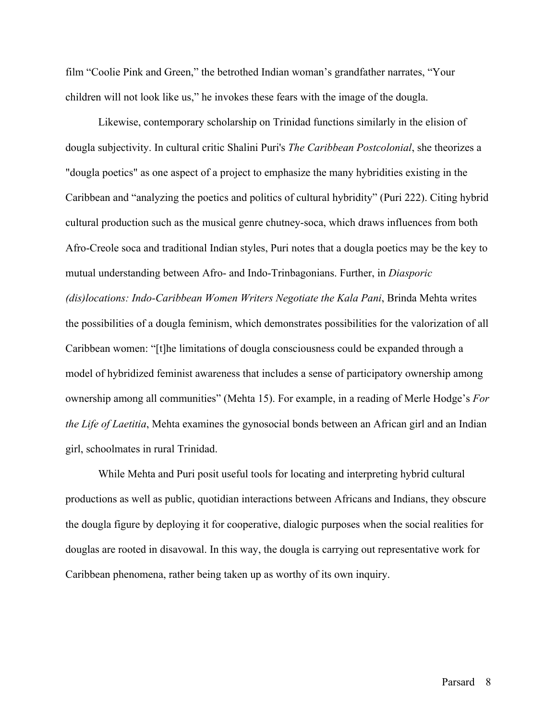film "Coolie Pink and Green," the betrothed Indian woman's grandfather narrates, "Your children will not look like us," he invokes these fears with the image of the dougla.

Likewise, contemporary scholarship on Trinidad functions similarly in the elision of dougla subjectivity. In cultural critic Shalini Puri's *The Caribbean Postcolonial*, she theorizes a "dougla poetics" as one aspect of a project to emphasize the many hybridities existing in the Caribbean and "analyzing the poetics and politics of cultural hybridity" (Puri 222). Citing hybrid cultural production such as the musical genre chutney-soca, which draws influences from both Afro-Creole soca and traditional Indian styles, Puri notes that a dougla poetics may be the key to mutual understanding between Afro- and Indo-Trinbagonians. Further, in *Diasporic (dis)locations: Indo-Caribbean Women Writers Negotiate the Kala Pani*, Brinda Mehta writes the possibilities of a dougla feminism, which demonstrates possibilities for the valorization of all Caribbean women: "[t]he limitations of dougla consciousness could be expanded through a model of hybridized feminist awareness that includes a sense of participatory ownership among ownership among all communities" (Mehta 15). For example, in a reading of Merle Hodge's *For the Life of Laetitia*, Mehta examines the gynosocial bonds between an African girl and an Indian girl, schoolmates in rural Trinidad.

While Mehta and Puri posit useful tools for locating and interpreting hybrid cultural productions as well as public, quotidian interactions between Africans and Indians, they obscure the dougla figure by deploying it for cooperative, dialogic purposes when the social realities for douglas are rooted in disavowal. In this way, the dougla is carrying out representative work for Caribbean phenomena, rather being taken up as worthy of its own inquiry.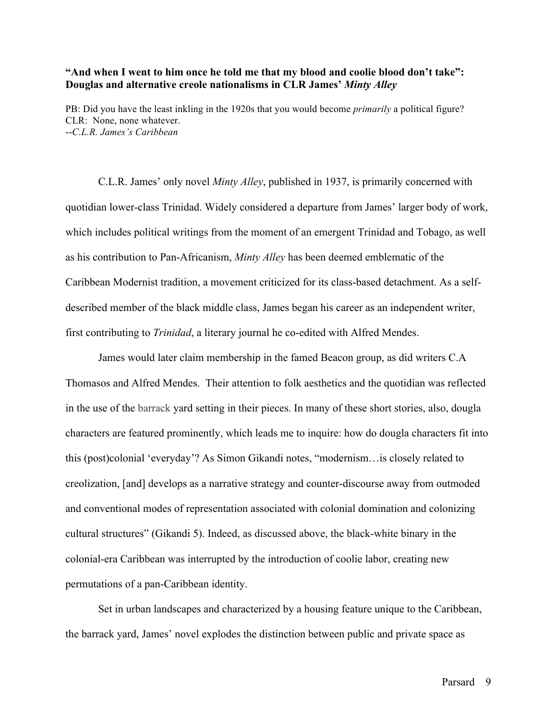#### **"And when I went to him once he told me that my blood and coolie blood don't take": Douglas and alternative creole nationalisms in CLR James'** *Minty Alley*

PB: Did you have the least inkling in the 1920s that you would become *primarily* a political figure? CLR: None, none whatever. --*C.L.R. James's Caribbean*

C.L.R. James' only novel *Minty Alley*, published in 1937, is primarily concerned with quotidian lower-class Trinidad. Widely considered a departure from James' larger body of work, which includes political writings from the moment of an emergent Trinidad and Tobago, as well as his contribution to Pan-Africanism, *Minty Alley* has been deemed emblematic of the Caribbean Modernist tradition, a movement criticized for its class-based detachment. As a selfdescribed member of the black middle class, James began his career as an independent writer, first contributing to *Trinidad*, a literary journal he co-edited with Alfred Mendes.

James would later claim membership in the famed Beacon group, as did writers C.A Thomasos and Alfred Mendes. Their attention to folk aesthetics and the quotidian was reflected in the use of the barrack yard setting in their pieces. In many of these short stories, also, dougla characters are featured prominently, which leads me to inquire: how do dougla characters fit into this (post)colonial 'everyday'? As Simon Gikandi notes, "modernism…is closely related to creolization, [and] develops as a narrative strategy and counter-discourse away from outmoded and conventional modes of representation associated with colonial domination and colonizing cultural structures" (Gikandi 5). Indeed, as discussed above, the black-white binary in the colonial-era Caribbean was interrupted by the introduction of coolie labor, creating new permutations of a pan-Caribbean identity.

Set in urban landscapes and characterized by a housing feature unique to the Caribbean, the barrack yard, James' novel explodes the distinction between public and private space as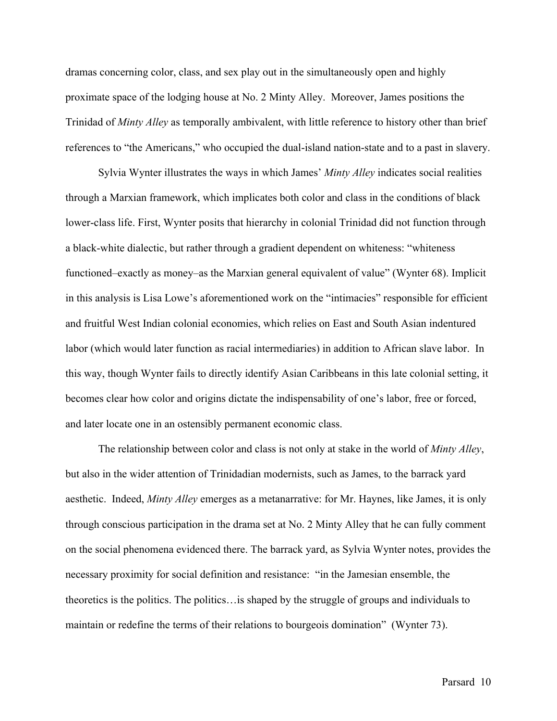dramas concerning color, class, and sex play out in the simultaneously open and highly proximate space of the lodging house at No. 2 Minty Alley. Moreover, James positions the Trinidad of *Minty Alley* as temporally ambivalent, with little reference to history other than brief references to "the Americans," who occupied the dual-island nation-state and to a past in slavery.

Sylvia Wynter illustrates the ways in which James' *Minty Alley* indicates social realities through a Marxian framework, which implicates both color and class in the conditions of black lower-class life. First, Wynter posits that hierarchy in colonial Trinidad did not function through a black-white dialectic, but rather through a gradient dependent on whiteness: "whiteness functioned–exactly as money–as the Marxian general equivalent of value" (Wynter 68). Implicit in this analysis is Lisa Lowe's aforementioned work on the "intimacies" responsible for efficient and fruitful West Indian colonial economies, which relies on East and South Asian indentured labor (which would later function as racial intermediaries) in addition to African slave labor. In this way, though Wynter fails to directly identify Asian Caribbeans in this late colonial setting, it becomes clear how color and origins dictate the indispensability of one's labor, free or forced, and later locate one in an ostensibly permanent economic class.

The relationship between color and class is not only at stake in the world of *Minty Alley*, but also in the wider attention of Trinidadian modernists, such as James, to the barrack yard aesthetic. Indeed, *Minty Alley* emerges as a metanarrative: for Mr. Haynes, like James, it is only through conscious participation in the drama set at No. 2 Minty Alley that he can fully comment on the social phenomena evidenced there. The barrack yard, as Sylvia Wynter notes, provides the necessary proximity for social definition and resistance: "in the Jamesian ensemble, the theoretics is the politics. The politics…is shaped by the struggle of groups and individuals to maintain or redefine the terms of their relations to bourgeois domination" (Wynter 73).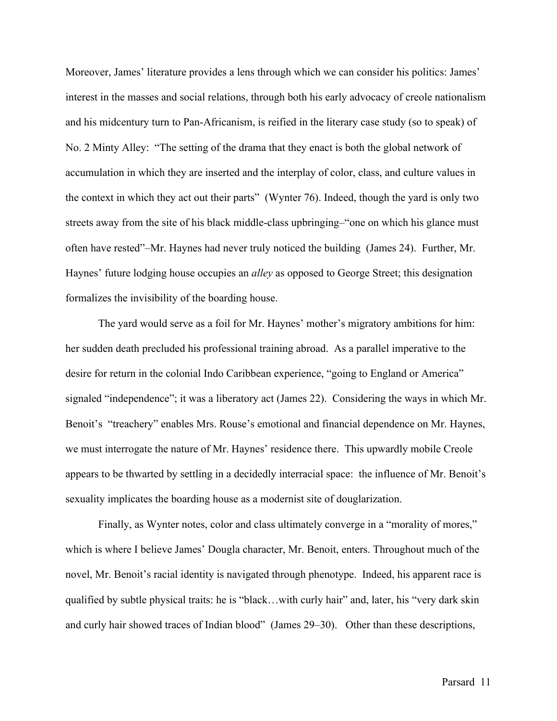Moreover, James' literature provides a lens through which we can consider his politics: James' interest in the masses and social relations, through both his early advocacy of creole nationalism and his midcentury turn to Pan-Africanism, is reified in the literary case study (so to speak) of No. 2 Minty Alley: "The setting of the drama that they enact is both the global network of accumulation in which they are inserted and the interplay of color, class, and culture values in the context in which they act out their parts" (Wynter 76). Indeed, though the yard is only two streets away from the site of his black middle-class upbringing–"one on which his glance must often have rested"–Mr. Haynes had never truly noticed the building (James 24). Further, Mr. Haynes' future lodging house occupies an *alley* as opposed to George Street; this designation formalizes the invisibility of the boarding house.

The yard would serve as a foil for Mr. Haynes' mother's migratory ambitions for him: her sudden death precluded his professional training abroad. As a parallel imperative to the desire for return in the colonial Indo Caribbean experience, "going to England or America" signaled "independence"; it was a liberatory act (James 22). Considering the ways in which Mr. Benoit's "treachery" enables Mrs. Rouse's emotional and financial dependence on Mr. Haynes, we must interrogate the nature of Mr. Haynes' residence there. This upwardly mobile Creole appears to be thwarted by settling in a decidedly interracial space: the influence of Mr. Benoit's sexuality implicates the boarding house as a modernist site of douglarization.

Finally, as Wynter notes, color and class ultimately converge in a "morality of mores," which is where I believe James' Dougla character, Mr. Benoit, enters. Throughout much of the novel, Mr. Benoit's racial identity is navigated through phenotype. Indeed, his apparent race is qualified by subtle physical traits: he is "black…with curly hair" and, later, his "very dark skin and curly hair showed traces of Indian blood" (James 29–30). Other than these descriptions,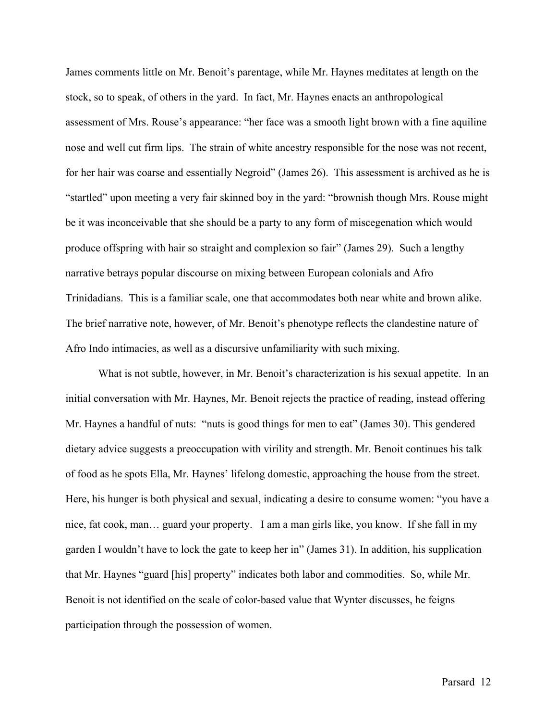James comments little on Mr. Benoit's parentage, while Mr. Haynes meditates at length on the stock, so to speak, of others in the yard. In fact, Mr. Haynes enacts an anthropological assessment of Mrs. Rouse's appearance: "her face was a smooth light brown with a fine aquiline nose and well cut firm lips. The strain of white ancestry responsible for the nose was not recent, for her hair was coarse and essentially Negroid" (James 26). This assessment is archived as he is "startled" upon meeting a very fair skinned boy in the yard: "brownish though Mrs. Rouse might be it was inconceivable that she should be a party to any form of miscegenation which would produce offspring with hair so straight and complexion so fair" (James 29). Such a lengthy narrative betrays popular discourse on mixing between European colonials and Afro Trinidadians. This is a familiar scale, one that accommodates both near white and brown alike. The brief narrative note, however, of Mr. Benoit's phenotype reflects the clandestine nature of Afro Indo intimacies, as well as a discursive unfamiliarity with such mixing.

What is not subtle, however, in Mr. Benoit's characterization is his sexual appetite. In an initial conversation with Mr. Haynes, Mr. Benoit rejects the practice of reading, instead offering Mr. Haynes a handful of nuts: "nuts is good things for men to eat" (James 30). This gendered dietary advice suggests a preoccupation with virility and strength. Mr. Benoit continues his talk of food as he spots Ella, Mr. Haynes' lifelong domestic, approaching the house from the street. Here, his hunger is both physical and sexual, indicating a desire to consume women: "you have a nice, fat cook, man… guard your property. I am a man girls like, you know. If she fall in my garden I wouldn't have to lock the gate to keep her in" (James 31). In addition, his supplication that Mr. Haynes "guard [his] property" indicates both labor and commodities. So, while Mr. Benoit is not identified on the scale of color-based value that Wynter discusses, he feigns participation through the possession of women.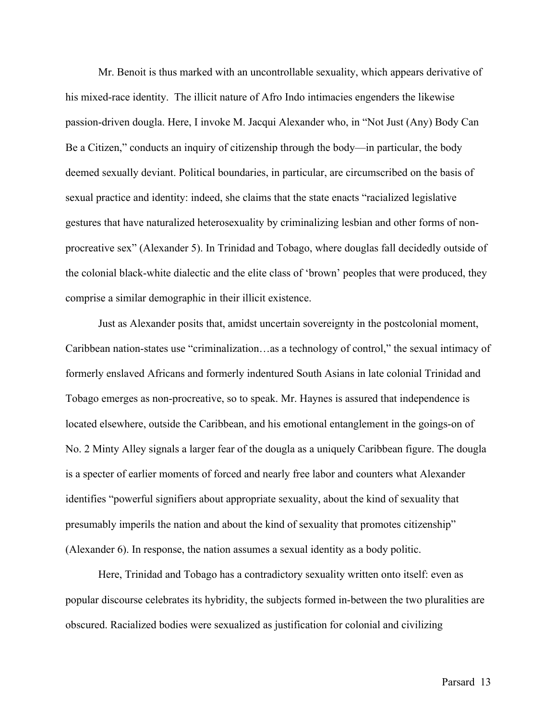Mr. Benoit is thus marked with an uncontrollable sexuality, which appears derivative of his mixed-race identity. The illicit nature of Afro Indo intimacies engenders the likewise passion-driven dougla. Here, I invoke M. Jacqui Alexander who, in "Not Just (Any) Body Can Be a Citizen," conducts an inquiry of citizenship through the body—in particular, the body deemed sexually deviant. Political boundaries, in particular, are circumscribed on the basis of sexual practice and identity: indeed, she claims that the state enacts "racialized legislative gestures that have naturalized heterosexuality by criminalizing lesbian and other forms of nonprocreative sex" (Alexander 5). In Trinidad and Tobago, where douglas fall decidedly outside of the colonial black-white dialectic and the elite class of 'brown' peoples that were produced, they comprise a similar demographic in their illicit existence.

Just as Alexander posits that, amidst uncertain sovereignty in the postcolonial moment, Caribbean nation-states use "criminalization…as a technology of control," the sexual intimacy of formerly enslaved Africans and formerly indentured South Asians in late colonial Trinidad and Tobago emerges as non-procreative, so to speak. Mr. Haynes is assured that independence is located elsewhere, outside the Caribbean, and his emotional entanglement in the goings-on of No. 2 Minty Alley signals a larger fear of the dougla as a uniquely Caribbean figure. The dougla is a specter of earlier moments of forced and nearly free labor and counters what Alexander identifies "powerful signifiers about appropriate sexuality, about the kind of sexuality that presumably imperils the nation and about the kind of sexuality that promotes citizenship" (Alexander 6). In response, the nation assumes a sexual identity as a body politic.

Here, Trinidad and Tobago has a contradictory sexuality written onto itself: even as popular discourse celebrates its hybridity, the subjects formed in-between the two pluralities are obscured. Racialized bodies were sexualized as justification for colonial and civilizing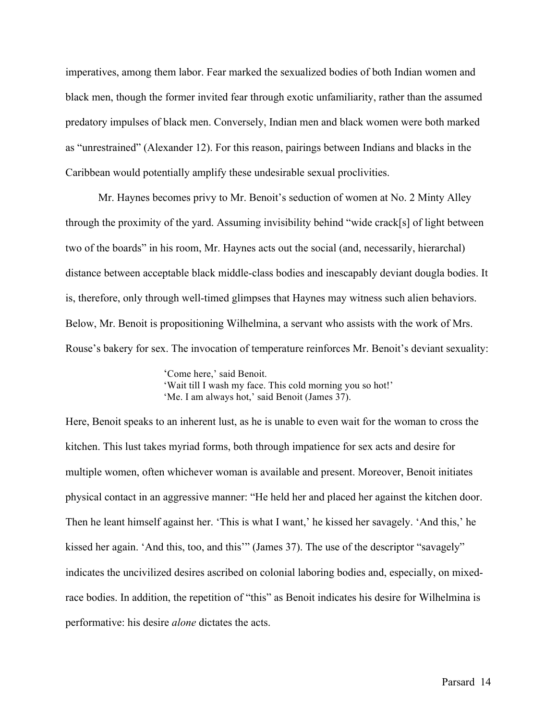imperatives, among them labor. Fear marked the sexualized bodies of both Indian women and black men, though the former invited fear through exotic unfamiliarity, rather than the assumed predatory impulses of black men. Conversely, Indian men and black women were both marked as "unrestrained" (Alexander 12). For this reason, pairings between Indians and blacks in the Caribbean would potentially amplify these undesirable sexual proclivities.

Mr. Haynes becomes privy to Mr. Benoit's seduction of women at No. 2 Minty Alley through the proximity of the yard. Assuming invisibility behind "wide crack[s] of light between two of the boards" in his room, Mr. Haynes acts out the social (and, necessarily, hierarchal) distance between acceptable black middle-class bodies and inescapably deviant dougla bodies. It is, therefore, only through well-timed glimpses that Haynes may witness such alien behaviors. Below, Mr. Benoit is propositioning Wilhelmina, a servant who assists with the work of Mrs. Rouse's bakery for sex. The invocation of temperature reinforces Mr. Benoit's deviant sexuality:

> 'Come here,' said Benoit. 'Wait till I wash my face. This cold morning you so hot!' 'Me. I am always hot,' said Benoit (James 37).

Here, Benoit speaks to an inherent lust, as he is unable to even wait for the woman to cross the kitchen. This lust takes myriad forms, both through impatience for sex acts and desire for multiple women, often whichever woman is available and present. Moreover, Benoit initiates physical contact in an aggressive manner: "He held her and placed her against the kitchen door. Then he leant himself against her. 'This is what I want,' he kissed her savagely. 'And this,' he kissed her again. 'And this, too, and this'" (James 37). The use of the descriptor "savagely" indicates the uncivilized desires ascribed on colonial laboring bodies and, especially, on mixedrace bodies. In addition, the repetition of "this" as Benoit indicates his desire for Wilhelmina is performative: his desire *alone* dictates the acts.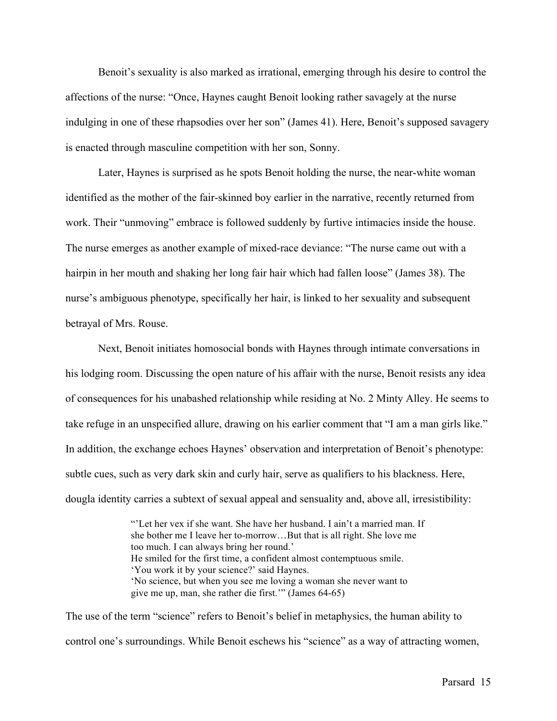Benoit's sexuality is also marked as irrational, emerging through his desire to control the affections of the nurse: "Once, Haynes caught Benoit looking rather savagely at the nurse indulging in one of these rhapsodies over her son" (James 41). Here, Benoit's supposed savagery is enacted through masculine competition with her son, Sonny.

Later, Haynes is surprised as he spots Benoit holding the nurse, the near-white woman identified as the mother of the fair-skinned boy earlier in the narrative, recently returned from work. Their "unmoving" embrace is followed suddenly by furtive intimacies inside the house. The nurse emerges as another example of mixed-race deviance: "The nurse came out with a hairpin in her mouth and shaking her long fair hair which had fallen loose" (James 38). The nurse's ambiguous phenotype, specifically her hair, is linked to her sexuality and subsequent betrayal of Mrs. Rouse.

Next, Benoit initiates homosocial bonds with Haynes through intimate conversations in his lodging room. Discussing the open nature of his affair with the nurse, Benoit resists any idea of consequences for his unabashed relationship while residing at No. 2 Minty Alley. He seems to take refuge in an unspecified allure, drawing on his earlier comment that "I am a man girls like." In addition, the exchange echoes Haynes' observation and interpretation of Benoit's phenotype: subtle cues, such as very dark skin and curly hair, serve as qualifiers to his blackness. Here, dougla identity carries a subtext of sexual appeal and sensuality and, above all, irresistibility:

> "'Let her vex if she want. She have her husband. I ain't a married man. If she bother me I leave her to-morrow…But that is all right. She love me too much. I can always bring her round.' He smiled for the first time, a confident almost contemptuous smile. 'You work it by your science?' said Haynes. 'No science, but when you see me loving a woman she never want to give me up, man, she rather die first.'" (James 64-65)

The use of the term "science" refers to Benoit's belief in metaphysics, the human ability to control one's surroundings. While Benoit eschews his "science" as a way of attracting women,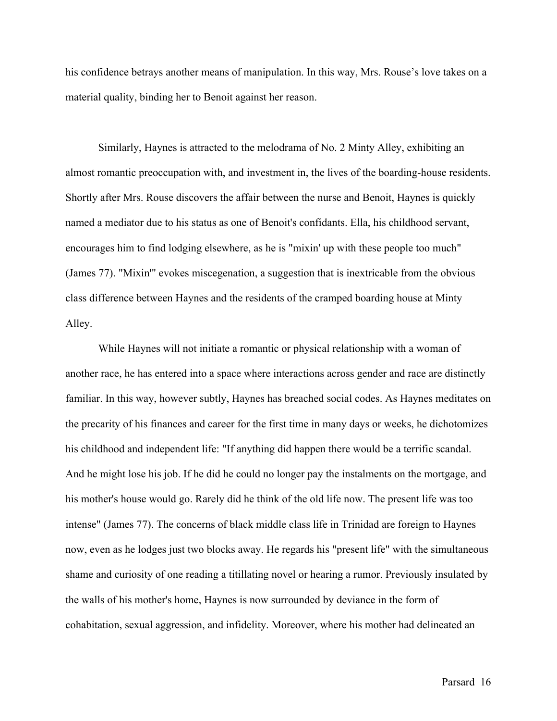his confidence betrays another means of manipulation. In this way, Mrs. Rouse's love takes on a material quality, binding her to Benoit against her reason.

Similarly, Haynes is attracted to the melodrama of No. 2 Minty Alley, exhibiting an almost romantic preoccupation with, and investment in, the lives of the boarding-house residents. Shortly after Mrs. Rouse discovers the affair between the nurse and Benoit, Haynes is quickly named a mediator due to his status as one of Benoit's confidants. Ella, his childhood servant, encourages him to find lodging elsewhere, as he is "mixin' up with these people too much" (James 77). "Mixin'" evokes miscegenation, a suggestion that is inextricable from the obvious class difference between Haynes and the residents of the cramped boarding house at Minty Alley.

While Haynes will not initiate a romantic or physical relationship with a woman of another race, he has entered into a space where interactions across gender and race are distinctly familiar. In this way, however subtly, Haynes has breached social codes. As Haynes meditates on the precarity of his finances and career for the first time in many days or weeks, he dichotomizes his childhood and independent life: "If anything did happen there would be a terrific scandal. And he might lose his job. If he did he could no longer pay the instalments on the mortgage, and his mother's house would go. Rarely did he think of the old life now. The present life was too intense" (James 77). The concerns of black middle class life in Trinidad are foreign to Haynes now, even as he lodges just two blocks away. He regards his "present life" with the simultaneous shame and curiosity of one reading a titillating novel or hearing a rumor. Previously insulated by the walls of his mother's home, Haynes is now surrounded by deviance in the form of cohabitation, sexual aggression, and infidelity. Moreover, where his mother had delineated an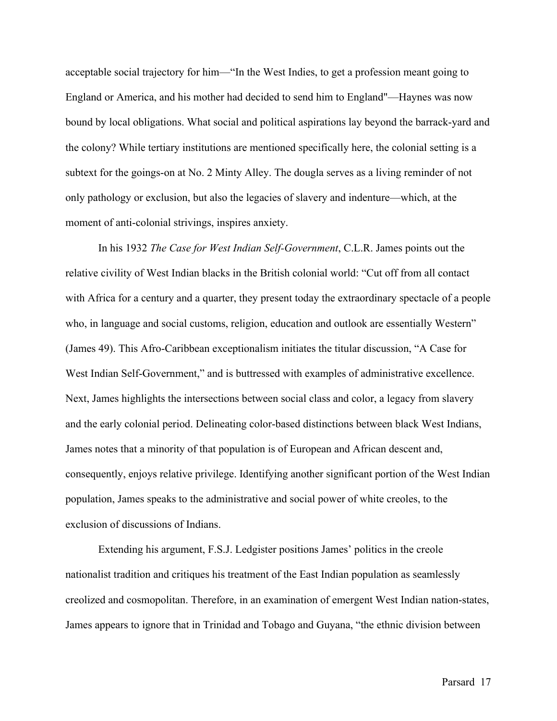acceptable social trajectory for him—"In the West Indies, to get a profession meant going to England or America, and his mother had decided to send him to England"—Haynes was now bound by local obligations. What social and political aspirations lay beyond the barrack-yard and the colony? While tertiary institutions are mentioned specifically here, the colonial setting is a subtext for the goings-on at No. 2 Minty Alley. The dougla serves as a living reminder of not only pathology or exclusion, but also the legacies of slavery and indenture—which, at the moment of anti-colonial strivings, inspires anxiety.

In his 1932 *The Case for West Indian Self-Government*, C.L.R. James points out the relative civility of West Indian blacks in the British colonial world: "Cut off from all contact with Africa for a century and a quarter, they present today the extraordinary spectacle of a people who, in language and social customs, religion, education and outlook are essentially Western" (James 49). This Afro-Caribbean exceptionalism initiates the titular discussion, "A Case for West Indian Self-Government," and is buttressed with examples of administrative excellence. Next, James highlights the intersections between social class and color, a legacy from slavery and the early colonial period. Delineating color-based distinctions between black West Indians, James notes that a minority of that population is of European and African descent and, consequently, enjoys relative privilege. Identifying another significant portion of the West Indian population, James speaks to the administrative and social power of white creoles, to the exclusion of discussions of Indians.

Extending his argument, F.S.J. Ledgister positions James' politics in the creole nationalist tradition and critiques his treatment of the East Indian population as seamlessly creolized and cosmopolitan. Therefore, in an examination of emergent West Indian nation-states, James appears to ignore that in Trinidad and Tobago and Guyana, "the ethnic division between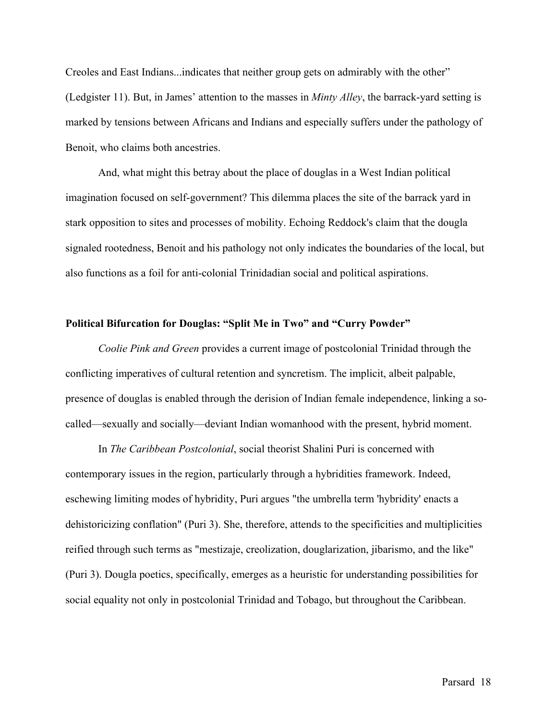Creoles and East Indians...indicates that neither group gets on admirably with the other" (Ledgister 11). But, in James' attention to the masses in *Minty Alley*, the barrack-yard setting is marked by tensions between Africans and Indians and especially suffers under the pathology of Benoit, who claims both ancestries.

And, what might this betray about the place of douglas in a West Indian political imagination focused on self-government? This dilemma places the site of the barrack yard in stark opposition to sites and processes of mobility. Echoing Reddock's claim that the dougla signaled rootedness, Benoit and his pathology not only indicates the boundaries of the local, but also functions as a foil for anti-colonial Trinidadian social and political aspirations.

#### **Political Bifurcation for Douglas: "Split Me in Two" and "Curry Powder"**

*Coolie Pink and Green* provides a current image of postcolonial Trinidad through the conflicting imperatives of cultural retention and syncretism. The implicit, albeit palpable, presence of douglas is enabled through the derision of Indian female independence, linking a socalled—sexually and socially—deviant Indian womanhood with the present, hybrid moment.

In *The Caribbean Postcolonial*, social theorist Shalini Puri is concerned with contemporary issues in the region, particularly through a hybridities framework. Indeed, eschewing limiting modes of hybridity, Puri argues "the umbrella term 'hybridity' enacts a dehistoricizing conflation" (Puri 3). She, therefore, attends to the specificities and multiplicities reified through such terms as "mestizaje, creolization, douglarization, jibarismo, and the like" (Puri 3). Dougla poetics, specifically, emerges as a heuristic for understanding possibilities for social equality not only in postcolonial Trinidad and Tobago, but throughout the Caribbean.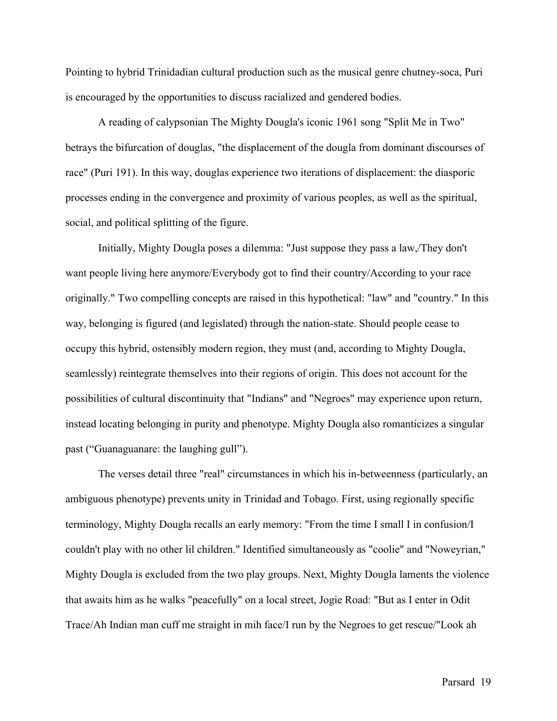Pointing to hybrid Trinidadian cultural production such as the musical genre chutney-soca, Puri is encouraged by the opportunities to discuss racialized and gendered bodies.

A reading of calypsonian The Mighty Dougla's iconic 1961 song "Split Me in Two" betrays the bifurcation of douglas, "the displacement of the dougla from dominant discourses of race" (Puri 191). In this way, douglas experience two iterations of displacement: the diasporic processes ending in the convergence and proximity of various peoples, as well as the spiritual, social, and political splitting of the figure.

Initially, Mighty Dougla poses a dilemma: "Just suppose they pass a law,/They don't want people living here anymore/Everybody got to find their country/According to your race originally." Two compelling concepts are raised in this hypothetical: "law" and "country." In this way, belonging is figured (and legislated) through the nation-state. Should people cease to occupy this hybrid, ostensibly modern region, they must (and, according to Mighty Dougla, seamlessly) reintegrate themselves into their regions of origin. This does not account for the possibilities of cultural discontinuity that "Indians" and "Negroes" may experience upon return, instead locating belonging in purity and phenotype. Mighty Dougla also romanticizes a singular past ("Guanaguanare: the laughing gull").

The verses detail three "real" circumstances in which his in-betweenness (particularly, an ambiguous phenotype) prevents unity in Trinidad and Tobago. First, using regionally specific terminology, Mighty Dougla recalls an early memory: "From the time I small I in confusion/I couldn't play with no other lil children." Identified simultaneously as "coolie" and "Noweyrian," Mighty Dougla is excluded from the two play groups. Next, Mighty Dougla laments the violence that awaits him as he walks "peacefully" on a local street, Jogie Road: "But as I enter in Odit Trace/Ah Indian man cuff me straight in mih face/I run by the Negroes to get rescue/"Look ah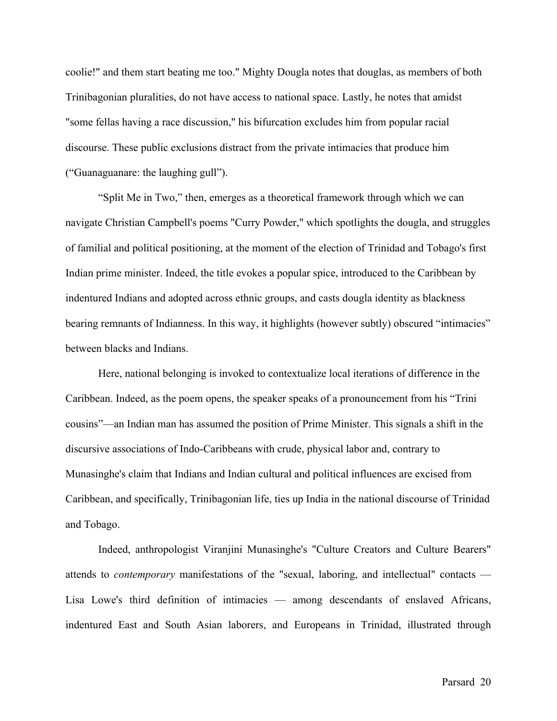coolie!" and them start beating me too." Mighty Dougla notes that douglas, as members of both Trinibagonian pluralities, do not have access to national space. Lastly, he notes that amidst "some fellas having a race discussion," his bifurcation excludes him from popular racial discourse. These public exclusions distract from the private intimacies that produce him ("Guanaguanare: the laughing gull").

"Split Me in Two," then, emerges as a theoretical framework through which we can navigate Christian Campbell's poems "Curry Powder," which spotlights the dougla, and struggles of familial and political positioning, at the moment of the election of Trinidad and Tobago's first Indian prime minister. Indeed, the title evokes a popular spice, introduced to the Caribbean by indentured Indians and adopted across ethnic groups, and casts dougla identity as blackness bearing remnants of Indianness. In this way, it highlights (however subtly) obscured "intimacies" between blacks and Indians.

Here, national belonging is invoked to contextualize local iterations of difference in the Caribbean. Indeed, as the poem opens, the speaker speaks of a pronouncement from his "Trini cousins"—an Indian man has assumed the position of Prime Minister. This signals a shift in the discursive associations of Indo-Caribbeans with crude, physical labor and, contrary to Munasinghe's claim that Indians and Indian cultural and political influences are excised from Caribbean, and specifically, Trinibagonian life, ties up India in the national discourse of Trinidad and Tobago.

Indeed, anthropologist Viranjini Munasinghe's "Culture Creators and Culture Bearers" attends to *contemporary* manifestations of the "sexual, laboring, and intellectual" contacts — Lisa Lowe's third definition of intimacies — among descendants of enslaved Africans, indentured East and South Asian laborers, and Europeans in Trinidad, illustrated through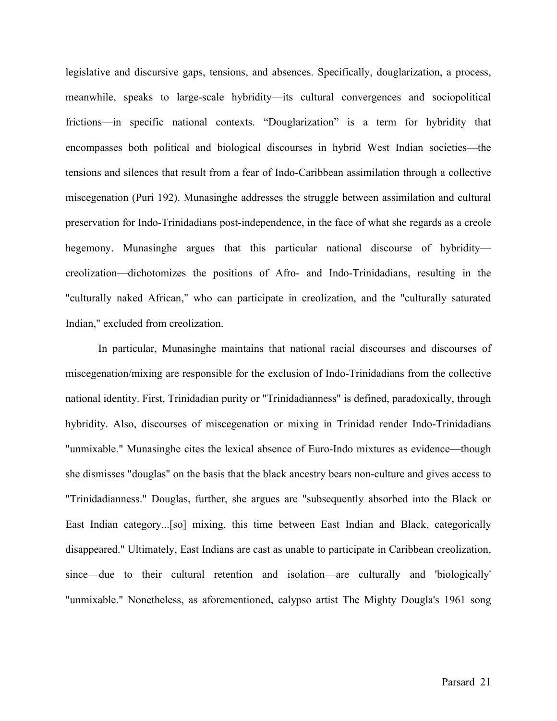legislative and discursive gaps, tensions, and absences. Specifically, douglarization, a process, meanwhile, speaks to large-scale hybridity—its cultural convergences and sociopolitical frictions—in specific national contexts. "Douglarization" is a term for hybridity that encompasses both political and biological discourses in hybrid West Indian societies—the tensions and silences that result from a fear of Indo-Caribbean assimilation through a collective miscegenation (Puri 192). Munasinghe addresses the struggle between assimilation and cultural preservation for Indo-Trinidadians post-independence, in the face of what she regards as a creole hegemony. Munasinghe argues that this particular national discourse of hybridity creolization—dichotomizes the positions of Afro- and Indo-Trinidadians, resulting in the "culturally naked African," who can participate in creolization, and the "culturally saturated Indian," excluded from creolization.

In particular, Munasinghe maintains that national racial discourses and discourses of miscegenation/mixing are responsible for the exclusion of Indo-Trinidadians from the collective national identity. First, Trinidadian purity or "Trinidadianness" is defined, paradoxically, through hybridity. Also, discourses of miscegenation or mixing in Trinidad render Indo-Trinidadians "unmixable." Munasinghe cites the lexical absence of Euro-Indo mixtures as evidence—though she dismisses "douglas" on the basis that the black ancestry bears non-culture and gives access to "Trinidadianness." Douglas, further, she argues are "subsequently absorbed into the Black or East Indian category...[so] mixing, this time between East Indian and Black, categorically disappeared." Ultimately, East Indians are cast as unable to participate in Caribbean creolization, since—due to their cultural retention and isolation—are culturally and 'biologically' "unmixable." Nonetheless, as aforementioned, calypso artist The Mighty Dougla's 1961 song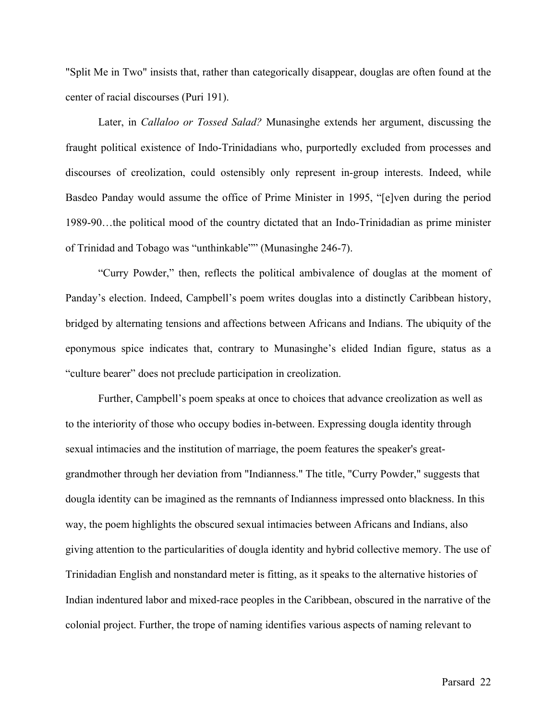"Split Me in Two" insists that, rather than categorically disappear, douglas are often found at the center of racial discourses (Puri 191).

Later, in *Callaloo or Tossed Salad?* Munasinghe extends her argument, discussing the fraught political existence of Indo-Trinidadians who, purportedly excluded from processes and discourses of creolization, could ostensibly only represent in-group interests. Indeed, while Basdeo Panday would assume the office of Prime Minister in 1995, "[e]ven during the period 1989-90…the political mood of the country dictated that an Indo-Trinidadian as prime minister of Trinidad and Tobago was "unthinkable"" (Munasinghe 246-7).

"Curry Powder," then, reflects the political ambivalence of douglas at the moment of Panday's election. Indeed, Campbell's poem writes douglas into a distinctly Caribbean history, bridged by alternating tensions and affections between Africans and Indians. The ubiquity of the eponymous spice indicates that, contrary to Munasinghe's elided Indian figure, status as a "culture bearer" does not preclude participation in creolization.

Further, Campbell's poem speaks at once to choices that advance creolization as well as to the interiority of those who occupy bodies in-between. Expressing dougla identity through sexual intimacies and the institution of marriage, the poem features the speaker's greatgrandmother through her deviation from "Indianness." The title, "Curry Powder," suggests that dougla identity can be imagined as the remnants of Indianness impressed onto blackness. In this way, the poem highlights the obscured sexual intimacies between Africans and Indians, also giving attention to the particularities of dougla identity and hybrid collective memory. The use of Trinidadian English and nonstandard meter is fitting, as it speaks to the alternative histories of Indian indentured labor and mixed-race peoples in the Caribbean, obscured in the narrative of the colonial project. Further, the trope of naming identifies various aspects of naming relevant to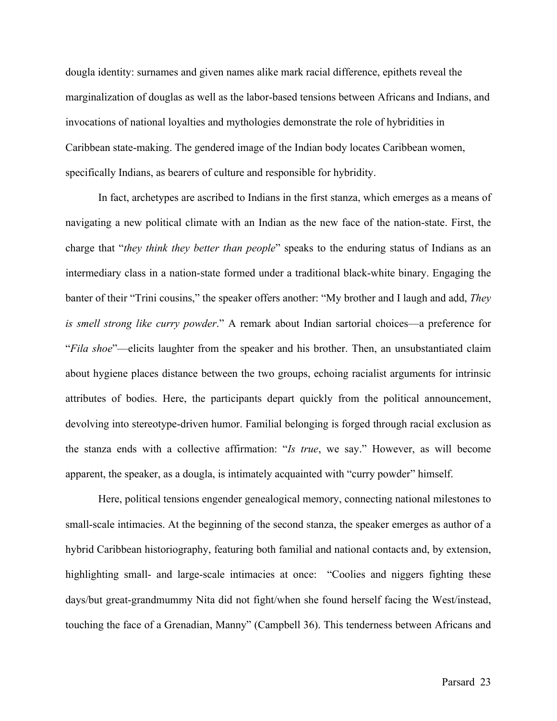dougla identity: surnames and given names alike mark racial difference, epithets reveal the marginalization of douglas as well as the labor-based tensions between Africans and Indians, and invocations of national loyalties and mythologies demonstrate the role of hybridities in Caribbean state-making. The gendered image of the Indian body locates Caribbean women, specifically Indians, as bearers of culture and responsible for hybridity.

In fact, archetypes are ascribed to Indians in the first stanza, which emerges as a means of navigating a new political climate with an Indian as the new face of the nation-state. First, the charge that "*they think they better than people*" speaks to the enduring status of Indians as an intermediary class in a nation-state formed under a traditional black-white binary. Engaging the banter of their "Trini cousins," the speaker offers another: "My brother and I laugh and add, *They is smell strong like curry powder*." A remark about Indian sartorial choices—a preference for "*Fila shoe*"—elicits laughter from the speaker and his brother. Then, an unsubstantiated claim about hygiene places distance between the two groups, echoing racialist arguments for intrinsic attributes of bodies. Here, the participants depart quickly from the political announcement, devolving into stereotype-driven humor. Familial belonging is forged through racial exclusion as the stanza ends with a collective affirmation: "*Is true*, we say." However, as will become apparent, the speaker, as a dougla, is intimately acquainted with "curry powder" himself.

Here, political tensions engender genealogical memory, connecting national milestones to small-scale intimacies. At the beginning of the second stanza, the speaker emerges as author of a hybrid Caribbean historiography, featuring both familial and national contacts and, by extension, highlighting small- and large-scale intimacies at once: "Coolies and niggers fighting these days/but great-grandmummy Nita did not fight/when she found herself facing the West/instead, touching the face of a Grenadian, Manny" (Campbell 36). This tenderness between Africans and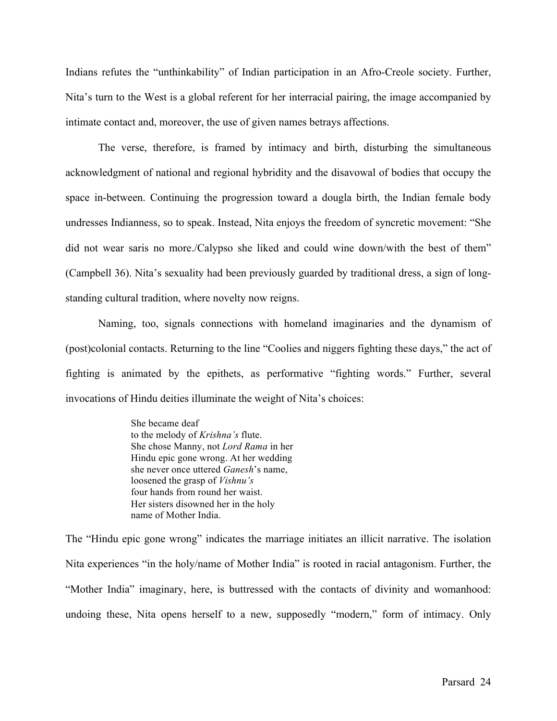Indians refutes the "unthinkability" of Indian participation in an Afro-Creole society. Further, Nita's turn to the West is a global referent for her interracial pairing, the image accompanied by intimate contact and, moreover, the use of given names betrays affections.

The verse, therefore, is framed by intimacy and birth, disturbing the simultaneous acknowledgment of national and regional hybridity and the disavowal of bodies that occupy the space in-between. Continuing the progression toward a dougla birth, the Indian female body undresses Indianness, so to speak. Instead, Nita enjoys the freedom of syncretic movement: "She did not wear saris no more./Calypso she liked and could wine down/with the best of them" (Campbell 36). Nita's sexuality had been previously guarded by traditional dress, a sign of longstanding cultural tradition, where novelty now reigns.

Naming, too, signals connections with homeland imaginaries and the dynamism of (post)colonial contacts. Returning to the line "Coolies and niggers fighting these days," the act of fighting is animated by the epithets, as performative "fighting words." Further, several invocations of Hindu deities illuminate the weight of Nita's choices:

> She became deaf to the melody of *Krishna's* flute. She chose Manny, not *Lord Rama* in her Hindu epic gone wrong. At her wedding she never once uttered *Ganesh*'s name, loosened the grasp of *Vishnu's* four hands from round her waist. Her sisters disowned her in the holy name of Mother India.

The "Hindu epic gone wrong" indicates the marriage initiates an illicit narrative. The isolation Nita experiences "in the holy/name of Mother India" is rooted in racial antagonism. Further, the "Mother India" imaginary, here, is buttressed with the contacts of divinity and womanhood: undoing these, Nita opens herself to a new, supposedly "modern," form of intimacy. Only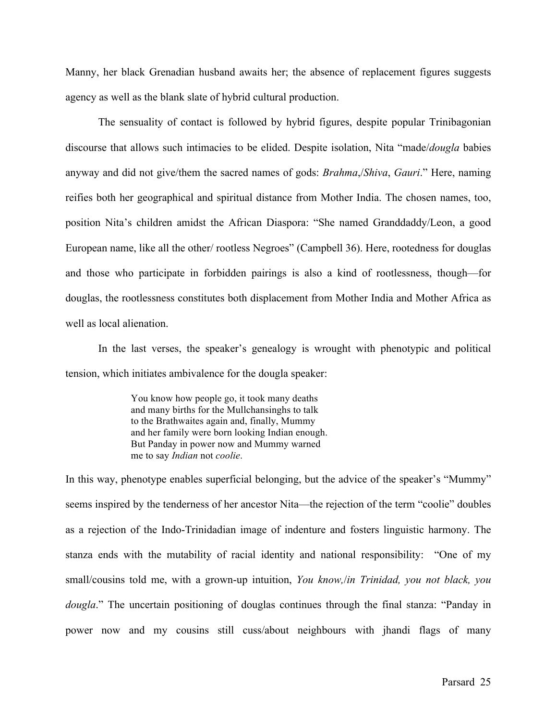Manny, her black Grenadian husband awaits her; the absence of replacement figures suggests agency as well as the blank slate of hybrid cultural production.

The sensuality of contact is followed by hybrid figures, despite popular Trinibagonian discourse that allows such intimacies to be elided. Despite isolation, Nita "made/*dougla* babies anyway and did not give/them the sacred names of gods: *Brahma*,/*Shiva*, *Gauri*." Here, naming reifies both her geographical and spiritual distance from Mother India. The chosen names, too, position Nita's children amidst the African Diaspora: "She named Granddaddy/Leon, a good European name, like all the other/ rootless Negroes" (Campbell 36). Here, rootedness for douglas and those who participate in forbidden pairings is also a kind of rootlessness, though—for douglas, the rootlessness constitutes both displacement from Mother India and Mother Africa as well as local alienation.

In the last verses, the speaker's genealogy is wrought with phenotypic and political tension, which initiates ambivalence for the dougla speaker:

> You know how people go, it took many deaths and many births for the Mullchansinghs to talk to the Brathwaites again and, finally, Mummy and her family were born looking Indian enough. But Panday in power now and Mummy warned me to say *Indian* not *coolie*.

In this way, phenotype enables superficial belonging, but the advice of the speaker's "Mummy" seems inspired by the tenderness of her ancestor Nita—the rejection of the term "coolie" doubles as a rejection of the Indo-Trinidadian image of indenture and fosters linguistic harmony. The stanza ends with the mutability of racial identity and national responsibility: "One of my small/cousins told me, with a grown-up intuition, *You know,*/*in Trinidad, you not black, you dougla*." The uncertain positioning of douglas continues through the final stanza: "Panday in power now and my cousins still cuss/about neighbours with jhandi flags of many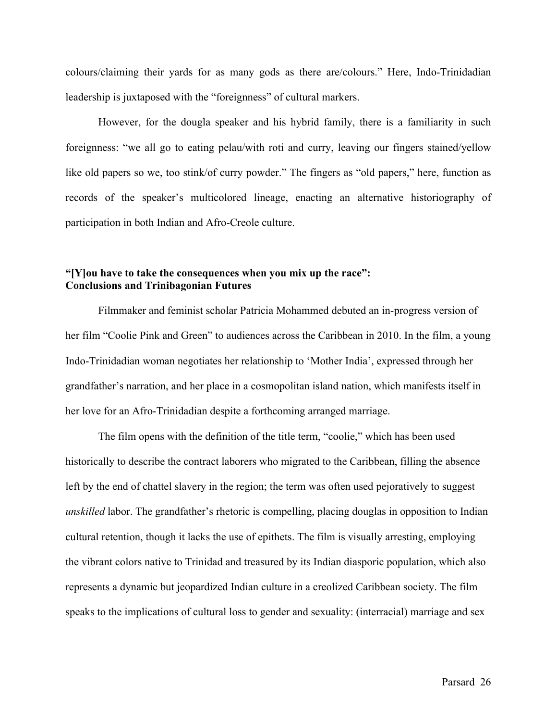colours/claiming their yards for as many gods as there are/colours." Here, Indo-Trinidadian leadership is juxtaposed with the "foreignness" of cultural markers.

However, for the dougla speaker and his hybrid family, there is a familiarity in such foreignness: "we all go to eating pelau/with roti and curry, leaving our fingers stained/yellow like old papers so we, too stink/of curry powder." The fingers as "old papers," here, function as records of the speaker's multicolored lineage, enacting an alternative historiography of participation in both Indian and Afro-Creole culture.

### **"[Y]ou have to take the consequences when you mix up the race": Conclusions and Trinibagonian Futures**

Filmmaker and feminist scholar Patricia Mohammed debuted an in-progress version of her film "Coolie Pink and Green" to audiences across the Caribbean in 2010. In the film, a young Indo-Trinidadian woman negotiates her relationship to 'Mother India', expressed through her grandfather's narration, and her place in a cosmopolitan island nation, which manifests itself in her love for an Afro-Trinidadian despite a forthcoming arranged marriage.

The film opens with the definition of the title term, "coolie," which has been used historically to describe the contract laborers who migrated to the Caribbean, filling the absence left by the end of chattel slavery in the region; the term was often used pejoratively to suggest *unskilled* labor. The grandfather's rhetoric is compelling, placing douglas in opposition to Indian cultural retention, though it lacks the use of epithets. The film is visually arresting, employing the vibrant colors native to Trinidad and treasured by its Indian diasporic population, which also represents a dynamic but jeopardized Indian culture in a creolized Caribbean society. The film speaks to the implications of cultural loss to gender and sexuality: (interracial) marriage and sex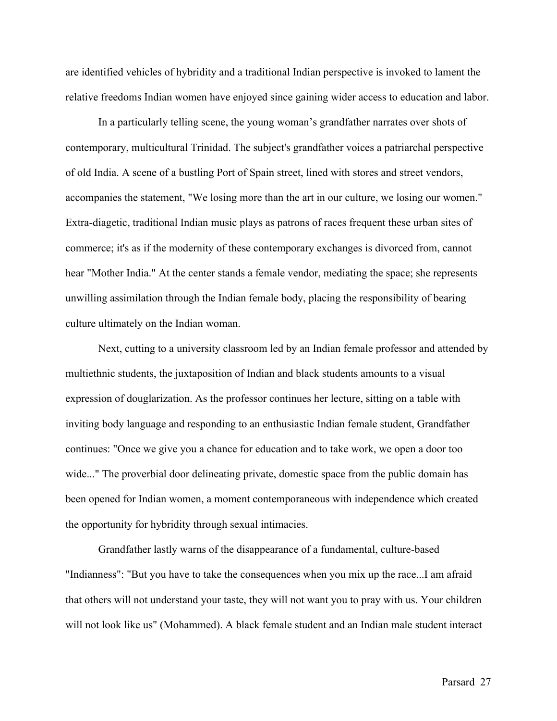are identified vehicles of hybridity and a traditional Indian perspective is invoked to lament the relative freedoms Indian women have enjoyed since gaining wider access to education and labor.

In a particularly telling scene, the young woman's grandfather narrates over shots of contemporary, multicultural Trinidad. The subject's grandfather voices a patriarchal perspective of old India. A scene of a bustling Port of Spain street, lined with stores and street vendors, accompanies the statement, "We losing more than the art in our culture, we losing our women." Extra-diagetic, traditional Indian music plays as patrons of races frequent these urban sites of commerce; it's as if the modernity of these contemporary exchanges is divorced from, cannot hear "Mother India." At the center stands a female vendor, mediating the space; she represents unwilling assimilation through the Indian female body, placing the responsibility of bearing culture ultimately on the Indian woman.

Next, cutting to a university classroom led by an Indian female professor and attended by multiethnic students, the juxtaposition of Indian and black students amounts to a visual expression of douglarization. As the professor continues her lecture, sitting on a table with inviting body language and responding to an enthusiastic Indian female student, Grandfather continues: "Once we give you a chance for education and to take work, we open a door too wide..." The proverbial door delineating private, domestic space from the public domain has been opened for Indian women, a moment contemporaneous with independence which created the opportunity for hybridity through sexual intimacies.

Grandfather lastly warns of the disappearance of a fundamental, culture-based "Indianness": "But you have to take the consequences when you mix up the race...I am afraid that others will not understand your taste, they will not want you to pray with us. Your children will not look like us" (Mohammed). A black female student and an Indian male student interact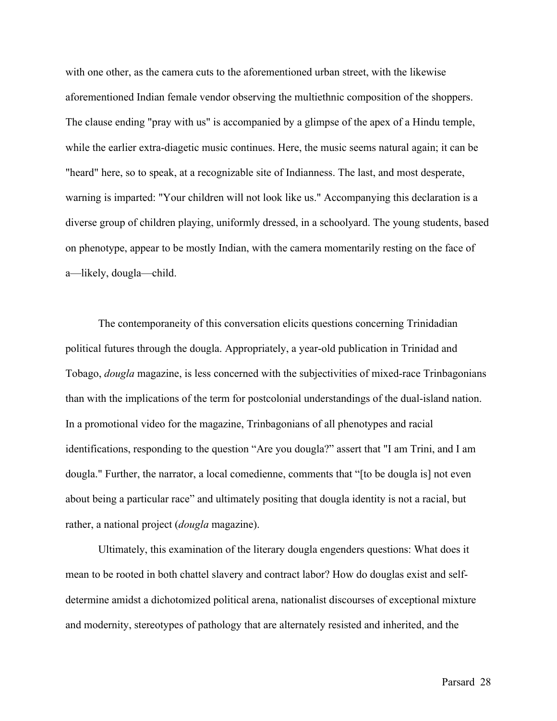with one other, as the camera cuts to the aforementioned urban street, with the likewise aforementioned Indian female vendor observing the multiethnic composition of the shoppers. The clause ending "pray with us" is accompanied by a glimpse of the apex of a Hindu temple, while the earlier extra-diagetic music continues. Here, the music seems natural again; it can be "heard" here, so to speak, at a recognizable site of Indianness. The last, and most desperate, warning is imparted: "Your children will not look like us." Accompanying this declaration is a diverse group of children playing, uniformly dressed, in a schoolyard. The young students, based on phenotype, appear to be mostly Indian, with the camera momentarily resting on the face of a—likely, dougla—child.

The contemporaneity of this conversation elicits questions concerning Trinidadian political futures through the dougla. Appropriately, a year-old publication in Trinidad and Tobago, *dougla* magazine, is less concerned with the subjectivities of mixed-race Trinbagonians than with the implications of the term for postcolonial understandings of the dual-island nation. In a promotional video for the magazine, Trinbagonians of all phenotypes and racial identifications, responding to the question "Are you dougla?" assert that "I am Trini, and I am dougla." Further, the narrator, a local comedienne, comments that "[to be dougla is] not even about being a particular race" and ultimately positing that dougla identity is not a racial, but rather, a national project (*dougla* magazine).

Ultimately, this examination of the literary dougla engenders questions: What does it mean to be rooted in both chattel slavery and contract labor? How do douglas exist and selfdetermine amidst a dichotomized political arena, nationalist discourses of exceptional mixture and modernity, stereotypes of pathology that are alternately resisted and inherited, and the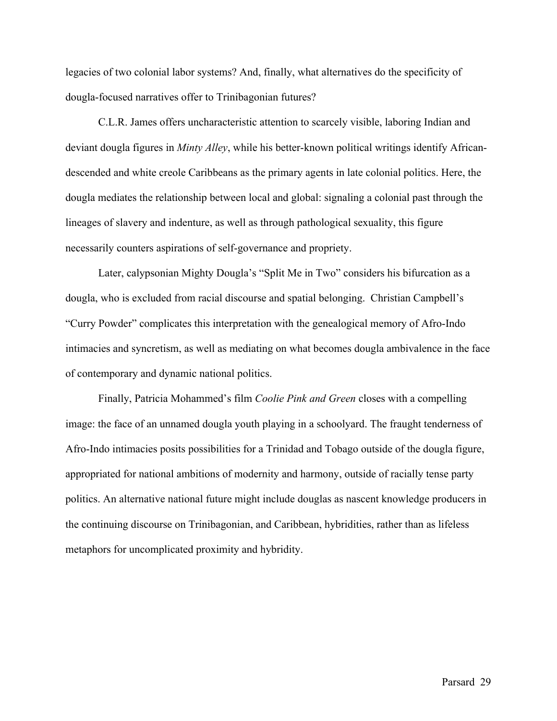legacies of two colonial labor systems? And, finally, what alternatives do the specificity of dougla-focused narratives offer to Trinibagonian futures?

C.L.R. James offers uncharacteristic attention to scarcely visible, laboring Indian and deviant dougla figures in *Minty Alley*, while his better-known political writings identify Africandescended and white creole Caribbeans as the primary agents in late colonial politics. Here, the dougla mediates the relationship between local and global: signaling a colonial past through the lineages of slavery and indenture, as well as through pathological sexuality, this figure necessarily counters aspirations of self-governance and propriety.

Later, calypsonian Mighty Dougla's "Split Me in Two" considers his bifurcation as a dougla, who is excluded from racial discourse and spatial belonging. Christian Campbell's "Curry Powder" complicates this interpretation with the genealogical memory of Afro-Indo intimacies and syncretism, as well as mediating on what becomes dougla ambivalence in the face of contemporary and dynamic national politics.

Finally, Patricia Mohammed's film *Coolie Pink and Green* closes with a compelling image: the face of an unnamed dougla youth playing in a schoolyard. The fraught tenderness of Afro-Indo intimacies posits possibilities for a Trinidad and Tobago outside of the dougla figure, appropriated for national ambitions of modernity and harmony, outside of racially tense party politics. An alternative national future might include douglas as nascent knowledge producers in the continuing discourse on Trinibagonian, and Caribbean, hybridities, rather than as lifeless metaphors for uncomplicated proximity and hybridity.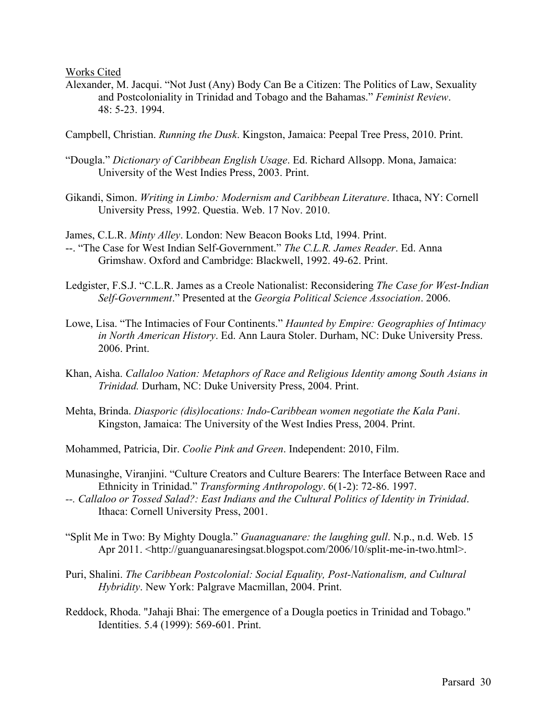Works Cited

- Alexander, M. Jacqui. "Not Just (Any) Body Can Be a Citizen: The Politics of Law, Sexuality and Postcoloniality in Trinidad and Tobago and the Bahamas." *Feminist Review*. 48: 5-23. 1994.
- Campbell, Christian. *Running the Dusk*. Kingston, Jamaica: Peepal Tree Press, 2010. Print.
- "Dougla." *Dictionary of Caribbean English Usage*. Ed. Richard Allsopp. Mona, Jamaica: University of the West Indies Press, 2003. Print.
- Gikandi, Simon. *Writing in Limbo: Modernism and Caribbean Literature*. Ithaca, NY: Cornell University Press, 1992. Questia. Web. 17 Nov. 2010.

James, C.L.R. *Minty Alley*. London: New Beacon Books Ltd, 1994. Print.

- --. "The Case for West Indian Self-Government." *The C.L.R. James Reader*. Ed. Anna Grimshaw. Oxford and Cambridge: Blackwell, 1992. 49-62. Print.
- Ledgister, F.S.J. "C.L.R. James as a Creole Nationalist: Reconsidering *The Case for West-Indian Self-Government*." Presented at the *Georgia Political Science Association*. 2006.
- Lowe, Lisa. "The Intimacies of Four Continents." *Haunted by Empire: Geographies of Intimacy in North American History*. Ed. Ann Laura Stoler. Durham, NC: Duke University Press. 2006. Print.
- Khan, Aisha. *Callaloo Nation: Metaphors of Race and Religious Identity among South Asians in Trinidad.* Durham, NC: Duke University Press, 2004. Print.
- Mehta, Brinda. *Diasporic (dis)locations: Indo-Caribbean women negotiate the Kala Pani*. Kingston, Jamaica: The University of the West Indies Press, 2004. Print.

Mohammed, Patricia, Dir. *Coolie Pink and Green*. Independent: 2010, Film.

- Munasinghe, Viranjini. "Culture Creators and Culture Bearers: The Interface Between Race and Ethnicity in Trinidad." *Transforming Anthropology*. 6(1-2): 72-86. 1997.
- *--. Callaloo or Tossed Salad?: East Indians and the Cultural Politics of Identity in Trinidad*. Ithaca: Cornell University Press, 2001.
- "Split Me in Two: By Mighty Dougla." *Guanaguanare: the laughing gull*. N.p., n.d. Web. 15 Apr 2011. <http://guanguanaresingsat.blogspot.com/2006/10/split-me-in-two.html>.
- Puri, Shalini. *The Caribbean Postcolonial: Social Equality, Post-Nationalism, and Cultural Hybridity*. New York: Palgrave Macmillan, 2004. Print.
- Reddock, Rhoda. "Jahaji Bhai: The emergence of a Dougla poetics in Trinidad and Tobago." Identities. 5.4 (1999): 569-601. Print.